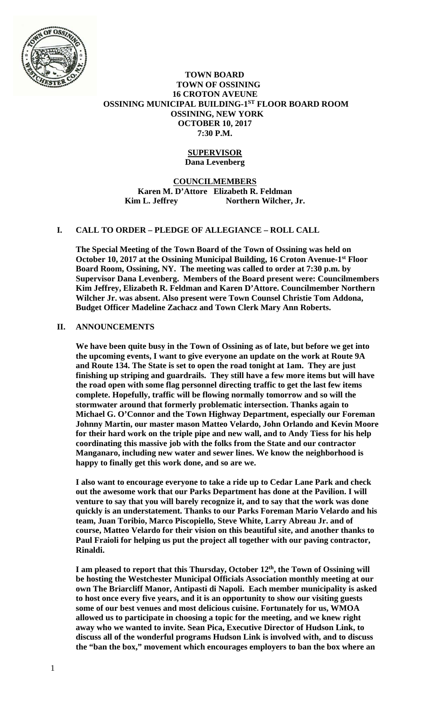

# **TOWN BOARD TOWN OF OSSINING 16 CROTON AVEUNE OSSINING MUNICIPAL BUILDING-1ST FLOOR BOARD ROOM OSSINING, NEW YORK OCTOBER 10, 2017 7:30 P.M.**

### **SUPERVISOR Dana Levenberg**

**COUNCILMEMBERS Karen M. D'Attore Elizabeth R. Feldman**  Kim L. Jeffrey Northern Wilcher, Jr.

# **I. CALL TO ORDER – PLEDGE OF ALLEGIANCE – ROLL CALL**

**The Special Meeting of the Town Board of the Town of Ossining was held on October 10, 2017 at the Ossining Municipal Building, 16 Croton Avenue-1st Floor Board Room, Ossining, NY. The meeting was called to order at 7:30 p.m. by Supervisor Dana Levenberg. Members of the Board present were: Councilmembers Kim Jeffrey, Elizabeth R. Feldman and Karen D'Attore. Councilmember Northern Wilcher Jr. was absent. Also present were Town Counsel Christie Tom Addona, Budget Officer Madeline Zachacz and Town Clerk Mary Ann Roberts.** 

# **II. ANNOUNCEMENTS**

**We have been quite busy in the Town of Ossining as of late, but before we get into the upcoming events, I want to give everyone an update on the work at Route 9A and Route 134. The State is set to open the road tonight at 1am. They are just finishing up striping and guardrails. They still have a few more items but will have the road open with some flag personnel directing traffic to get the last few items complete. Hopefully, traffic will be flowing normally tomorrow and so will the stormwater around that formerly problematic intersection. Thanks again to Michael G. O'Connor and the Town Highway Department, especially our Foreman Johnny Martin, our master mason Matteo Velardo, John Orlando and Kevin Moore for their hard work on the triple pipe and new wall, and to Andy Tiess for his help coordinating this massive job with the folks from the State and our contractor Manganaro, including new water and sewer lines. We know the neighborhood is happy to finally get this work done, and so are we.** 

**I also want to encourage everyone to take a ride up to Cedar Lane Park and check out the awesome work that our Parks Department has done at the Pavilion. I will venture to say that you will barely recognize it, and to say that the work was done quickly is an understatement. Thanks to our Parks Foreman Mario Velardo and his team, Juan Toribio, Marco Piscopiello, Steve White, Larry Abreau Jr. and of course, Matteo Velardo for their vision on this beautiful site, and another thanks to Paul Fraioli for helping us put the project all together with our paving contractor, Rinaldi.** 

I am pleased to report that this Thursday, October 12<sup>th</sup>, the Town of Ossining will **be hosting the Westchester Municipal Officials Association monthly meeting at our own The Briarcliff Manor, Antipasti di Napoli. Each member municipality is asked to host once every five years, and it is an opportunity to show our visiting guests some of our best venues and most delicious cuisine. Fortunately for us, WMOA allowed us to participate in choosing a topic for the meeting, and we knew right away who we wanted to invite. Sean Pica, Executive Director of Hudson Link, to discuss all of the wonderful programs Hudson Link is involved with, and to discuss the "ban the box," movement which encourages employers to ban the box where an**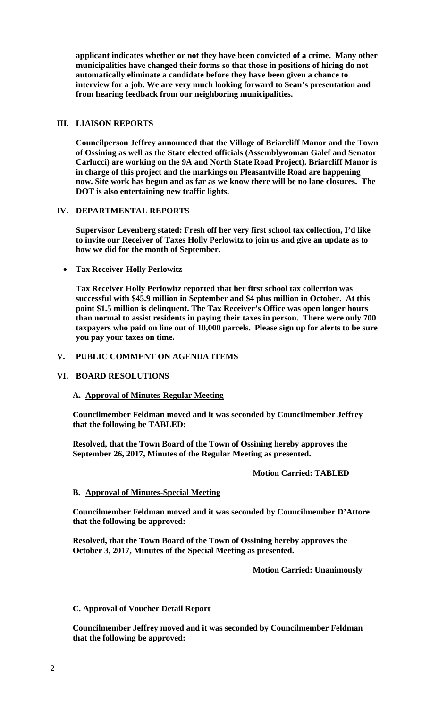**applicant indicates whether or not they have been convicted of a crime. Many other municipalities have changed their forms so that those in positions of hiring do not automatically eliminate a candidate before they have been given a chance to interview for a job. We are very much looking forward to Sean's presentation and from hearing feedback from our neighboring municipalities.** 

### **III. LIAISON REPORTS**

**Councilperson Jeffrey announced that the Village of Briarcliff Manor and the Town of Ossining as well as the State elected officials (Assemblywoman Galef and Senator Carlucci) are working on the 9A and North State Road Project). Briarcliff Manor is in charge of this project and the markings on Pleasantville Road are happening now. Site work has begun and as far as we know there will be no lane closures. The DOT is also entertaining new traffic lights.** 

# **IV. DEPARTMENTAL REPORTS**

**Supervisor Levenberg stated: Fresh off her very first school tax collection, I'd like to invite our Receiver of Taxes Holly Perlowitz to join us and give an update as to how we did for the month of September.** 

**Tax Receiver-Holly Perlowitz** 

**Tax Receiver Holly Perlowitz reported that her first school tax collection was successful with \$45.9 million in September and \$4 plus million in October. At this point \$1.5 million is delinquent. The Tax Receiver's Office was open longer hours than normal to assist residents in paying their taxes in person. There were only 700 taxpayers who paid on line out of 10,000 parcels. Please sign up for alerts to be sure you pay your taxes on time.** 

### **V. PUBLIC COMMENT ON AGENDA ITEMS**

# **VI. BOARD RESOLUTIONS**

### **A. Approval of Minutes-Regular Meeting**

**Councilmember Feldman moved and it was seconded by Councilmember Jeffrey that the following be TABLED:** 

**Resolved, that the Town Board of the Town of Ossining hereby approves the September 26, 2017, Minutes of the Regular Meeting as presented.** 

### **Motion Carried: TABLED**

#### **B. Approval of Minutes-Special Meeting**

**Councilmember Feldman moved and it was seconded by Councilmember D'Attore that the following be approved:** 

**Resolved, that the Town Board of the Town of Ossining hereby approves the October 3, 2017, Minutes of the Special Meeting as presented.** 

#### **Motion Carried: Unanimously**

# **C. Approval of Voucher Detail Report**

**Councilmember Jeffrey moved and it was seconded by Councilmember Feldman that the following be approved:**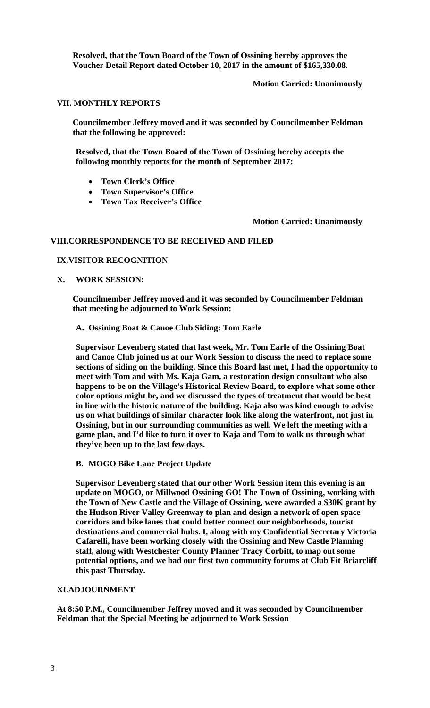**Resolved, that the Town Board of the Town of Ossining hereby approves the Voucher Detail Report dated October 10, 2017 in the amount of \$165,330.08.** 

# **Motion Carried: Unanimously**

# **VII. MONTHLY REPORTS**

**Councilmember Jeffrey moved and it was seconded by Councilmember Feldman that the following be approved:** 

**Resolved, that the Town Board of the Town of Ossining hereby accepts the following monthly reports for the month of September 2017:** 

- **Town Clerk's Office**
- **Town Supervisor's Office**
- **Town Tax Receiver's Office**

# **Motion Carried: Unanimously**

# **VIII.CORRESPONDENCE TO BE RECEIVED AND FILED**

# **IX.VISITOR RECOGNITION**

 **X. WORK SESSION:** 

**Councilmember Jeffrey moved and it was seconded by Councilmember Feldman that meeting be adjourned to Work Session:** 

# **A. Ossining Boat & Canoe Club Siding: Tom Earle**

**Supervisor Levenberg stated that last week, Mr. Tom Earle of the Ossining Boat and Canoe Club joined us at our Work Session to discuss the need to replace some sections of siding on the building. Since this Board last met, I had the opportunity to meet with Tom and with Ms. Kaja Gam, a restoration design consultant who also happens to be on the Village's Historical Review Board, to explore what some other color options might be, and we discussed the types of treatment that would be best in line with the historic nature of the building. Kaja also was kind enough to advise us on what buildings of similar character look like along the waterfront, not just in Ossining, but in our surrounding communities as well. We left the meeting with a game plan, and I'd like to turn it over to Kaja and Tom to walk us through what they've been up to the last few days.** 

# **B. MOGO Bike Lane Project Update**

**Supervisor Levenberg stated that our other Work Session item this evening is an update on MOGO, or Millwood Ossining GO! The Town of Ossining, working with the Town of New Castle and the Village of Ossining, were awarded a \$30K grant by the Hudson River Valley Greenway to plan and design a network of open space corridors and bike lanes that could better connect our neighborhoods, tourist destinations and commercial hubs. I, along with my Confidential Secretary Victoria Cafarelli, have been working closely with the Ossining and New Castle Planning staff, along with Westchester County Planner Tracy Corbitt, to map out some potential options, and we had our first two community forums at Club Fit Briarcliff this past Thursday.** 

# **XI.ADJOURNMENT**

**At 8:50 P.M., Councilmember Jeffrey moved and it was seconded by Councilmember Feldman that the Special Meeting be adjourned to Work Session**